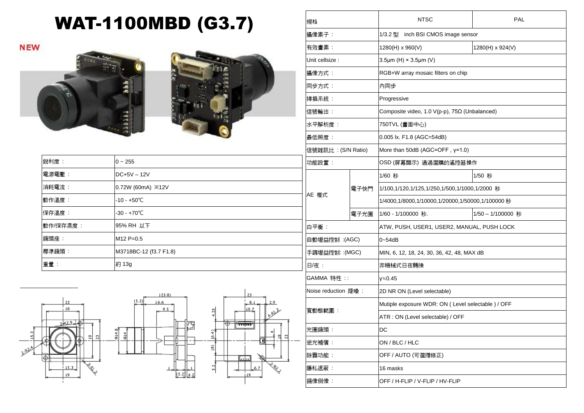## WAT-1100MBD (G3.7)

**NEW** 





| 銳利度:     | $0 - 255$                      | ゖ   |
|----------|--------------------------------|-----|
| 電源電壓:    | $DC+5V - 12V$                  |     |
| 消耗電流:    | 0.72W (60mA) $\frac{1}{2}$ 12V |     |
| 動作溫度:    | $-10 - +50^{\circ}C$           | A   |
| 保存溫度:    | $-30 - +70^{\circ}C$           |     |
| 動作/保存濕度: | 95% RH 以下                      | É   |
| 鏡頭座:     | $M12 P=0.5$                    | 自   |
| 標準鏡頭:    | M3718BC-12 (f3.7 F1.8)         | l 手 |
| 重量:      | 約 13g                          | E   |



| 規格                  |                |                                                  | <b>NTSC</b>                                        | PAL              |  |
|---------------------|----------------|--------------------------------------------------|----------------------------------------------------|------------------|--|
| 攝像素子:               |                |                                                  | 1/3.2 型 inch BSI CMOS image sensor                 |                  |  |
|                     | 有效畫素:          |                                                  | 1280(H) x 960(V)                                   | 1280(H) x 924(V) |  |
|                     | Unit cellsize: |                                                  | $3.5 \mu m$ (H) $\times$ $3.5 \mu m$ (V)           |                  |  |
| 攝像方式:               |                |                                                  | RGB+W array mosaic filters on chip                 |                  |  |
| 同步方式:               |                |                                                  | 內同步                                                |                  |  |
| 掃描系統:               |                |                                                  | Progressive                                        |                  |  |
| 信號輸出:               |                |                                                  | Composite video, 1.0 V(p-p), 75Ω (Unbalanced)      |                  |  |
| 水平解析度:              |                |                                                  | 750TVL (畫面中心)                                      |                  |  |
| 最低照度:               |                |                                                  | 0.005 lx. F1.8 (AGC=54dB)                          |                  |  |
| 信號雜訊比 : (S/N Ratio) |                |                                                  | More than 50dB (AGC=OFF, y=1.0)                    |                  |  |
| 功能設置:               |                |                                                  | OSD (屏幕顯示) 通過選購的遙控器操作                              |                  |  |
|                     |                |                                                  | 1/60 秒                                             | 1/50 秒           |  |
| AE 模式               | 電子快門           | 1/100,1/120,1/125,1/250,1/500,1/1000,1/2000 秒    |                                                    |                  |  |
|                     |                | 1/4000,1/8000,1/10000,1/20000,1/50000,1/100000 秒 |                                                    |                  |  |
|                     |                | 電子光圈                                             | 1/60 - 1/100000 秒.                                 | 1/50-1/100000 秒  |  |
| 白平衡:                |                |                                                  | ATW, PUSH, USER1, USER2, MANUAL, PUSH LOCK         |                  |  |
| 自動增益控制 :(AGC)       |                |                                                  | $0 - 54dB$                                         |                  |  |
| 手調增益控制: :(MGC)      |                |                                                  | MIN, 6, 12, 18, 24, 30, 36, 42, 48, MAX dB         |                  |  |
| 日/夜 :               |                |                                                  | 非機械式日夜轉換                                           |                  |  |
| GAMMA 特性 ::         |                |                                                  | γ≒0.45                                             |                  |  |
| Noise reduction 降噪: |                |                                                  | 2D NR ON (Level selectable)                        |                  |  |
| 寬動態範圍:              |                |                                                  | Mutiple exposure WDR: ON (Level selectable ) / OFF |                  |  |
|                     |                |                                                  | ATR : ON (Level selectable) / OFF                  |                  |  |
| 光圈鏡頭:               |                |                                                  | DC                                                 |                  |  |
| 逆光補償:               |                |                                                  | ON / BLC / HLC                                     |                  |  |
| 除霧功能:               |                |                                                  | OFF / AUTO (可選擇修正)                                 |                  |  |
| 隱私遮蔽:               |                |                                                  | 16 masks                                           |                  |  |
|                     | 鏡像倒像:          |                                                  | OFF / H-FLIP / V-FLIP / HV-FLIP                    |                  |  |
|                     |                |                                                  |                                                    |                  |  |